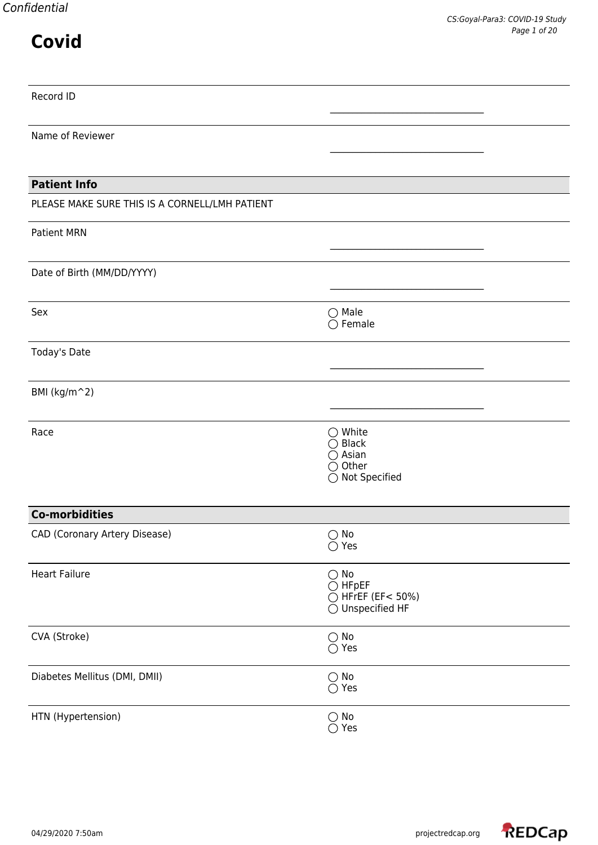| Record ID |
|-----------|
|-----------|

Name of Reviewer

| <b>Patient Info</b>                            |                                                                                                 |  |
|------------------------------------------------|-------------------------------------------------------------------------------------------------|--|
| PLEASE MAKE SURE THIS IS A CORNELL/LMH PATIENT |                                                                                                 |  |
| <b>Patient MRN</b>                             |                                                                                                 |  |
| Date of Birth (MM/DD/YYYY)                     |                                                                                                 |  |
| Sex                                            | $\bigcirc$ Male<br>$\bigcirc$ Female                                                            |  |
| Today's Date                                   |                                                                                                 |  |
| BMI (kg/m^2)                                   |                                                                                                 |  |
| Race                                           | $\bigcirc$ White<br>$\bigcirc$ Black<br>$\bigcirc$ Asian<br>◯ Other<br>$\bigcirc$ Not Specified |  |
| <b>Co-morbidities</b>                          |                                                                                                 |  |
| CAD (Coronary Artery Disease)                  | $\bigcirc$ No<br>$\bigcirc$ Yes                                                                 |  |
| <b>Heart Failure</b>                           | $\bigcirc$ No<br>$\bigcirc$ HFpEF<br>○ HFrEF (EF< 50%)<br>$\bigcirc$ Unspecified HF             |  |
| CVA (Stroke)                                   | $\bigcirc$ No<br>$\bigcirc$ Yes                                                                 |  |
| Diabetes Mellitus (DMI, DMII)                  | $\bigcirc$ No<br>$\bigcirc$ Yes                                                                 |  |
| HTN (Hypertension)                             | $\bigcirc$ No<br>$\bigcirc$ Yes                                                                 |  |

\_\_\_\_\_\_\_\_\_\_\_\_\_\_\_\_\_\_\_\_\_\_\_\_\_\_\_\_\_\_\_\_\_\_

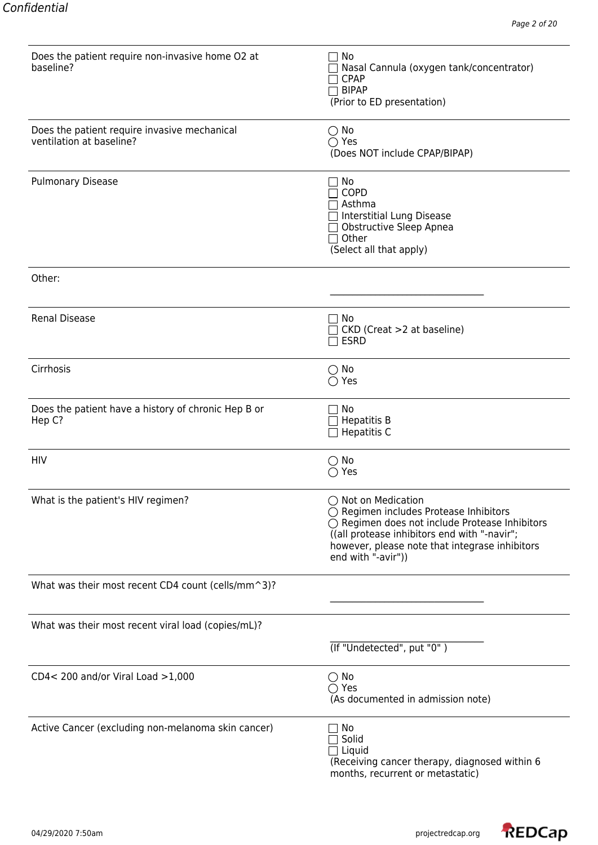| Does the patient require non-invasive home O2 at<br>baseline?            | No<br>Nasal Cannula (oxygen tank/concentrator)<br><b>CPAP</b><br><b>BIPAP</b><br>(Prior to ED presentation)                                                                                                                                      |
|--------------------------------------------------------------------------|--------------------------------------------------------------------------------------------------------------------------------------------------------------------------------------------------------------------------------------------------|
| Does the patient require invasive mechanical<br>ventilation at baseline? | $\bigcirc$ No<br>$\bigcirc$ Yes<br>(Does NOT include CPAP/BIPAP)                                                                                                                                                                                 |
| <b>Pulmonary Disease</b>                                                 | No<br><b>COPD</b><br>Asthma<br>□ Interstitial Lung Disease<br>Obstructive Sleep Apnea<br>$\Box$ Other<br>(Select all that apply)                                                                                                                 |
| Other:                                                                   |                                                                                                                                                                                                                                                  |
| <b>Renal Disease</b>                                                     | ∩ No<br>CKD (Creat >2 at baseline)<br><b>ESRD</b>                                                                                                                                                                                                |
| Cirrhosis                                                                | $\bigcirc$ No<br>$\bigcirc$ Yes                                                                                                                                                                                                                  |
| Does the patient have a history of chronic Hep B or<br>Hep C?            | No<br><b>Hepatitis B</b><br>Hepatitis C                                                                                                                                                                                                          |
| <b>HIV</b>                                                               | $\bigcirc$ No<br>$\bigcirc$ Yes                                                                                                                                                                                                                  |
| What is the patient's HIV regimen?                                       | ◯ Not on Medication<br>○ Regimen includes Protease Inhibitors<br>$\bigcirc$ Regimen does not include Protease Inhibitors<br>((all protease inhibitors end with "-navir";<br>however, please note that integrase inhibitors<br>end with "-avir")) |
| What was their most recent CD4 count (cells/mm^3)?                       |                                                                                                                                                                                                                                                  |
| What was their most recent viral load (copies/mL)?                       |                                                                                                                                                                                                                                                  |
|                                                                          | (If "Undetected", put "0")                                                                                                                                                                                                                       |
| CD4< 200 and/or Viral Load >1,000                                        | $\bigcirc$ No<br>$\bigcirc$ Yes<br>(As documented in admission note)                                                                                                                                                                             |
| Active Cancer (excluding non-melanoma skin cancer)                       | $\exists$ No<br>Solid<br>$\Box$ Liquid<br>(Receiving cancer therapy, diagnosed within 6<br>months, recurrent or metastatic)                                                                                                                      |

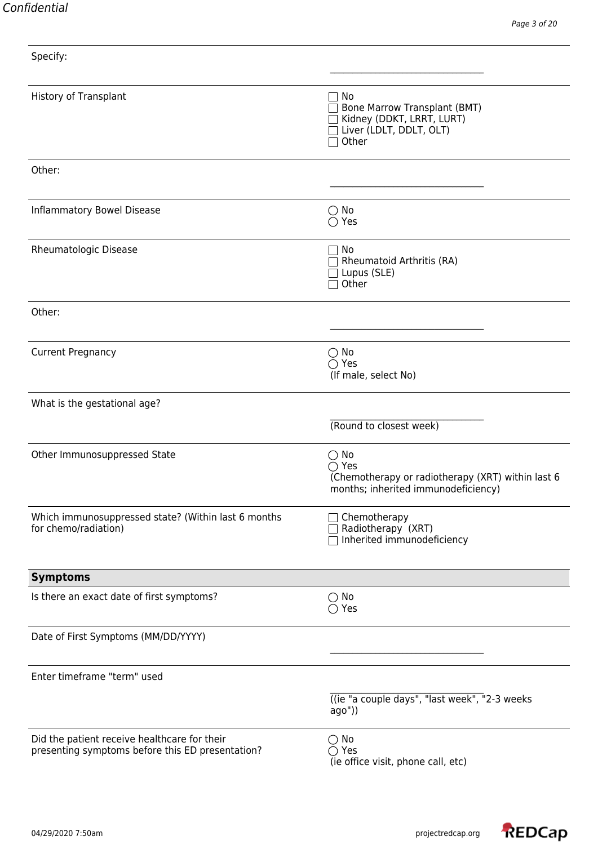Specify:

| <b>History of Transplant</b>                                                                     | No<br>Bone Marrow Transplant (BMT)<br>Kidney (DDKT, LRRT, LURT)<br>Liver (LDLT, DDLT, OLT)<br>Other<br>$\mathbf{I}$         |
|--------------------------------------------------------------------------------------------------|-----------------------------------------------------------------------------------------------------------------------------|
| Other:                                                                                           |                                                                                                                             |
| Inflammatory Bowel Disease                                                                       | $\bigcirc$ No<br>$\bigcirc$ Yes                                                                                             |
| Rheumatologic Disease                                                                            | No<br><b>Rheumatoid Arthritis (RA)</b><br>$\Box$ Lupus (SLE)<br>Other                                                       |
| Other:                                                                                           |                                                                                                                             |
| <b>Current Pregnancy</b>                                                                         | $\bigcirc$ No<br>$\bigcirc$ Yes<br>(If male, select No)                                                                     |
| What is the gestational age?                                                                     |                                                                                                                             |
|                                                                                                  | (Round to closest week)                                                                                                     |
| Other Immunosuppressed State                                                                     | $\bigcirc$ No<br>$\bigcirc$ Yes<br>(Chemotherapy or radiotherapy (XRT) within last 6<br>months; inherited immunodeficiency) |
| Which immunosuppressed state? (Within last 6 months<br>for chemo/radiation)                      | $\Box$ Chemotherapy<br>Radiotherapy (XRT)<br>Inherited immunodeficiency                                                     |
| <b>Symptoms</b>                                                                                  |                                                                                                                             |
| Is there an exact date of first symptoms?                                                        | $\bigcirc$ No<br>$\bigcirc$ Yes                                                                                             |
| Date of First Symptoms (MM/DD/YYYY)                                                              |                                                                                                                             |
| Enter timeframe "term" used                                                                      |                                                                                                                             |
|                                                                                                  | ((ie "a couple days", "last week", "2-3 weeks<br>ago")                                                                      |
| Did the patient receive healthcare for their<br>presenting symptoms before this ED presentation? | $\bigcirc$ No<br>$\bigcirc$ Yes<br>(ie office visit, phone call, etc)                                                       |

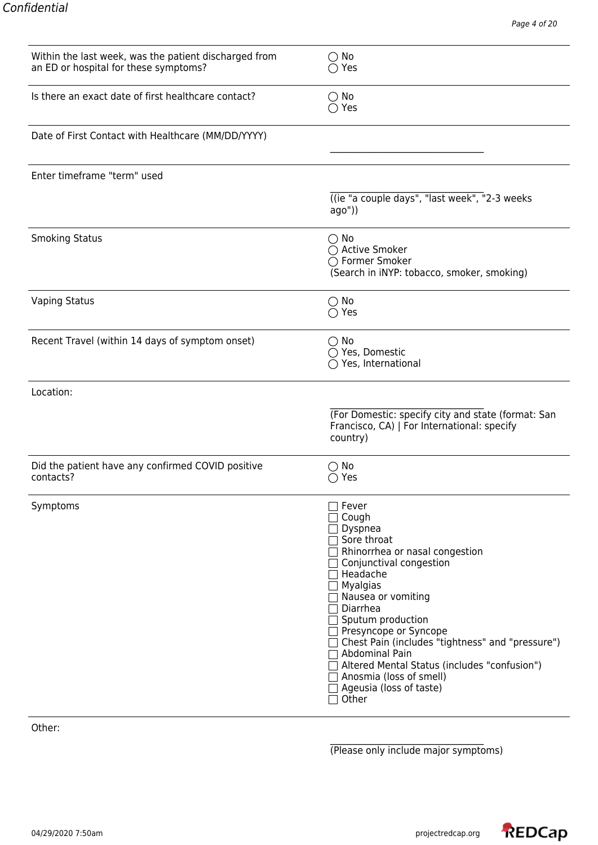| Within the last week, was the patient discharged from<br>an ED or hospital for these symptoms? | $\bigcirc$ No<br>$\bigcirc$ Yes                                                                                                                                                                                                                                                                                                                                                                                             |
|------------------------------------------------------------------------------------------------|-----------------------------------------------------------------------------------------------------------------------------------------------------------------------------------------------------------------------------------------------------------------------------------------------------------------------------------------------------------------------------------------------------------------------------|
| Is there an exact date of first healthcare contact?                                            | $\bigcirc$ No<br>$\bigcirc$ Yes                                                                                                                                                                                                                                                                                                                                                                                             |
| Date of First Contact with Healthcare (MM/DD/YYYY)                                             |                                                                                                                                                                                                                                                                                                                                                                                                                             |
| Enter timeframe "term" used                                                                    |                                                                                                                                                                                                                                                                                                                                                                                                                             |
|                                                                                                | ((ie "a couple days", "last week", "2-3 weeks<br>ago")                                                                                                                                                                                                                                                                                                                                                                      |
| <b>Smoking Status</b>                                                                          | $\bigcirc$ No<br>○ Active Smoker<br>○ Former Smoker<br>(Search in iNYP: tobacco, smoker, smoking)                                                                                                                                                                                                                                                                                                                           |
| <b>Vaping Status</b>                                                                           | $\bigcirc$ No<br>$\bigcirc$ Yes                                                                                                                                                                                                                                                                                                                                                                                             |
| Recent Travel (within 14 days of symptom onset)                                                | $\bigcirc$ No<br>○ Yes, Domestic<br>$\bigcirc$ Yes, International                                                                                                                                                                                                                                                                                                                                                           |
| Location:                                                                                      |                                                                                                                                                                                                                                                                                                                                                                                                                             |
|                                                                                                | (For Domestic: specify city and state (format: San<br>Francisco, CA)   For International: specify<br>country)                                                                                                                                                                                                                                                                                                               |
| Did the patient have any confirmed COVID positive<br>contacts?                                 | $\bigcirc$ No<br>$\bigcirc$ Yes                                                                                                                                                                                                                                                                                                                                                                                             |
| Symptoms                                                                                       | Fever<br>Cough<br>Dyspnea<br>Sore throat<br>Rhinorrhea or nasal congestion<br>$\Box$ Conjunctival congestion<br>$\neg$ Headache<br>Myalgias<br>Nausea or vomiting<br>Diarrhea<br>Sputum production<br>□ Presyncope or Syncope<br>□ Chest Pain (includes "tightness" and "pressure")<br>Abdominal Pain<br>Altered Mental Status (includes "confusion")<br>$\Box$ Anosmia (loss of smell)<br>Ageusia (loss of taste)<br>Other |

Other:

\_\_\_\_\_\_\_\_\_\_\_\_\_\_\_\_\_\_\_\_\_\_\_\_\_\_\_\_\_\_\_\_\_\_ (Please only include major symptoms)

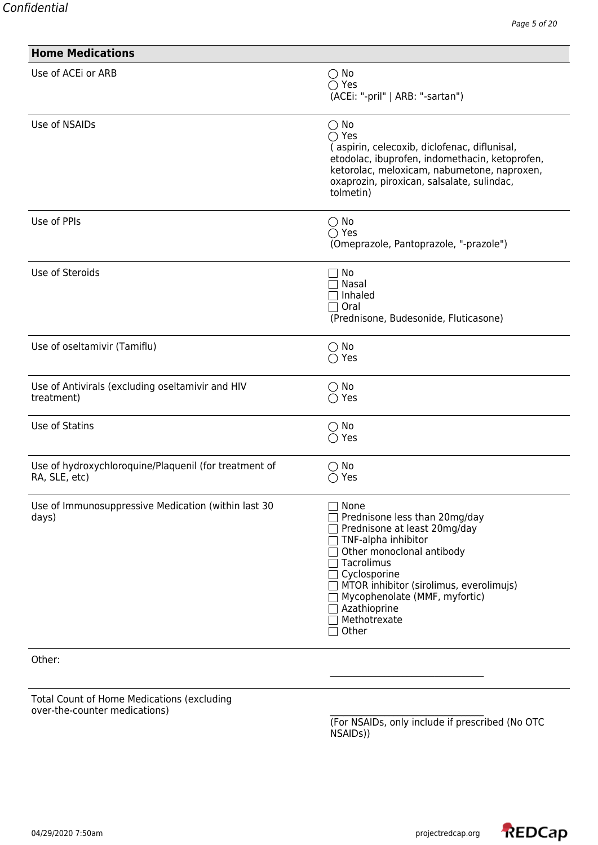| $\bigcirc$ No<br>$\bigcirc$ Yes<br>(ACEi: "-pril"   ARB: "-sartan")                                                                                                                                                                                                                                 |
|-----------------------------------------------------------------------------------------------------------------------------------------------------------------------------------------------------------------------------------------------------------------------------------------------------|
| $\bigcirc$ No<br>$\bigcirc$ Yes<br>(aspirin, celecoxib, diclofenac, diflunisal,<br>etodolac, ibuprofen, indomethacin, ketoprofen,<br>ketorolac, meloxicam, nabumetone, naproxen,<br>oxaprozin, piroxican, salsalate, sulindac,<br>tolmetin)                                                         |
| $\bigcirc$ No<br>$\bigcirc$ Yes<br>(Omeprazole, Pantoprazole, "-prazole")                                                                                                                                                                                                                           |
| $\Box$ No<br>Nasal<br>□ Inhaled<br>$\Box$ Oral<br>(Prednisone, Budesonide, Fluticasone)                                                                                                                                                                                                             |
| $\bigcirc$ No<br>$\bigcirc$ Yes                                                                                                                                                                                                                                                                     |
| $\bigcirc$ No<br>$\bigcirc$ Yes                                                                                                                                                                                                                                                                     |
| $\bigcirc$ No<br>$\bigcirc$ Yes                                                                                                                                                                                                                                                                     |
| $\bigcirc$ No<br>$\bigcirc$ Yes                                                                                                                                                                                                                                                                     |
| None<br>Prednisone less than 20mg/day<br>Prednisone at least 20mg/day<br>TNF-alpha inhibitor<br>Other monoclonal antibody<br>Tacrolimus<br>□ Cyclosporine<br>MTOR inhibitor (sirolimus, everolimujs)<br>□ Mycophenolate (MMF, myfortic)<br>Azathioprine<br>$\sqsupset$ Methotrexate<br>$\Box$ Other |
|                                                                                                                                                                                                                                                                                                     |

Other:

Total Count of Home Medications (excluding over-the-counter medications) \_\_\_\_\_\_\_\_\_\_\_\_\_\_\_\_\_\_\_\_\_\_\_\_\_\_\_\_\_\_\_\_\_\_

(For NSAIDs, only include if prescribed (No OTC NSAIDs))

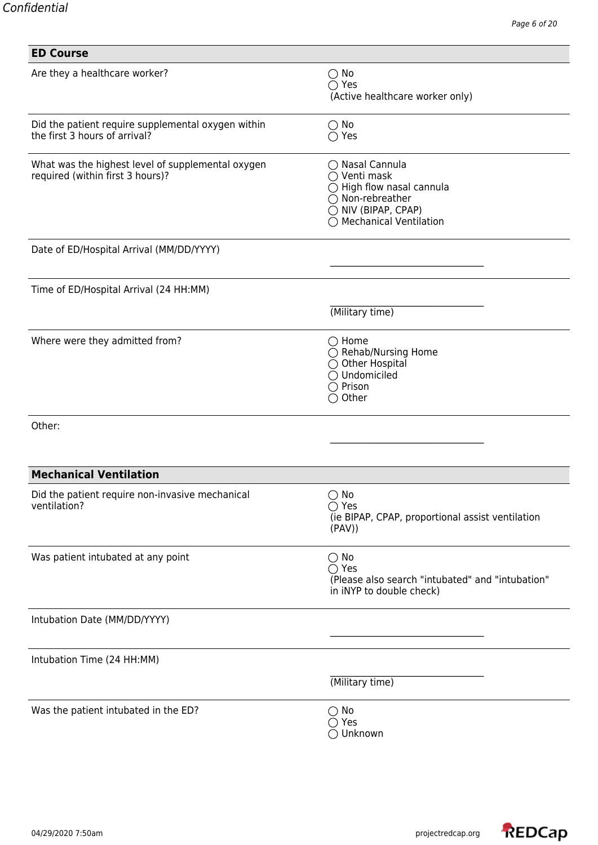| <b>ED Course</b>                                                                      |                                                                                                                                                                     |
|---------------------------------------------------------------------------------------|---------------------------------------------------------------------------------------------------------------------------------------------------------------------|
| Are they a healthcare worker?                                                         | $\bigcirc$ No<br>$\bigcirc$ Yes<br>(Active healthcare worker only)                                                                                                  |
| Did the patient require supplemental oxygen within<br>the first 3 hours of arrival?   | $\bigcirc$ No<br>$\bigcirc$ Yes                                                                                                                                     |
| What was the highest level of supplemental oxygen<br>required (within first 3 hours)? | ◯ Nasal Cannula<br>$\bigcirc$ Venti mask<br>$\bigcirc$ High flow nasal cannula<br>◯ Non-rebreather<br>$\bigcirc$ NIV (BIPAP, CPAP)<br><b>Mechanical Ventilation</b> |
| Date of ED/Hospital Arrival (MM/DD/YYYY)                                              |                                                                                                                                                                     |
| Time of ED/Hospital Arrival (24 HH:MM)                                                |                                                                                                                                                                     |
|                                                                                       | (Military time)                                                                                                                                                     |
| Where were they admitted from?                                                        | $\bigcirc$ Home<br>◯ Rehab/Nursing Home<br>$\bigcirc$ Other Hospital<br>◯ Undomiciled<br>$\bigcirc$ Prison<br>$\bigcirc$ Other                                      |
| Other:                                                                                |                                                                                                                                                                     |
| <b>Mechanical Ventilation</b>                                                         |                                                                                                                                                                     |
| Did the patient require non-invasive mechanical<br>ventilation?                       | $\bigcirc$ No<br>$\bigcirc$ Yes<br>(ie BIPAP, CPAP, proportional assist ventilation<br>(PAV))                                                                       |
| Was patient intubated at any point                                                    | $\bigcirc$ No<br>$\bigcirc$ Yes<br>(Please also search "intubated" and "intubation"<br>in iNYP to double check)                                                     |
| Intubation Date (MM/DD/YYYY)                                                          |                                                                                                                                                                     |
| Intubation Time (24 HH:MM)                                                            |                                                                                                                                                                     |
|                                                                                       | (Military time)                                                                                                                                                     |
| Was the patient intubated in the ED?                                                  | $\bigcirc$ No<br>$\bigcirc$ Yes<br>Unknown                                                                                                                          |

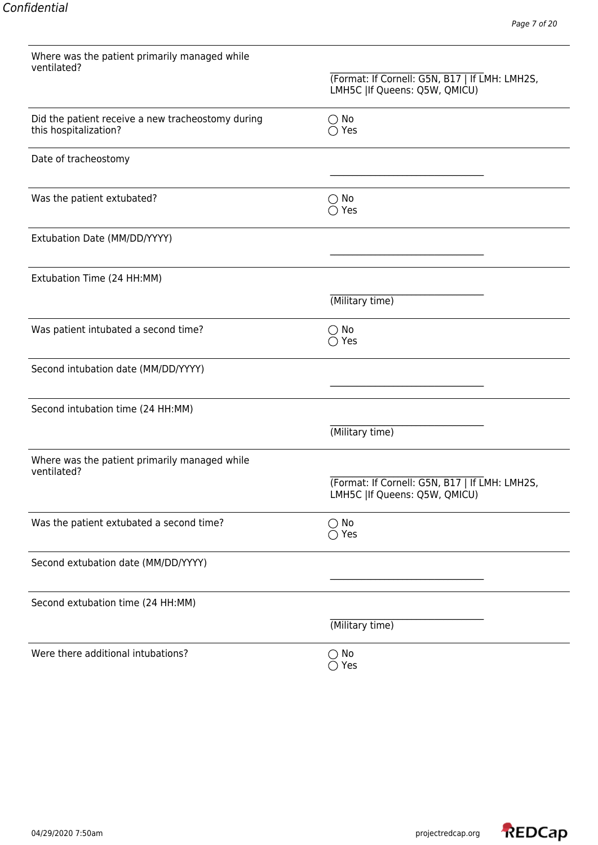| Where was the patient primarily managed while |  |  |
|-----------------------------------------------|--|--|
| ventilated?                                   |  |  |

| nere was ene pacient primainy managea wime<br>ventilated?                  |                                                                                  |
|----------------------------------------------------------------------------|----------------------------------------------------------------------------------|
|                                                                            | (Format: If Cornell: G5N, B17   If LMH: LMH2S,<br>LMH5C   If Queens: Q5W, QMICU) |
| Did the patient receive a new tracheostomy during<br>this hospitalization? | $\bigcirc$ No<br>$\bigcirc$ Yes                                                  |
| Date of tracheostomy                                                       |                                                                                  |
| Was the patient extubated?                                                 | $\bigcirc$ No<br>$\bigcirc$ Yes                                                  |
| Extubation Date (MM/DD/YYYY)                                               |                                                                                  |
| Extubation Time (24 HH:MM)                                                 |                                                                                  |
|                                                                            | (Military time)                                                                  |
| Was patient intubated a second time?                                       | $\bigcirc$ No<br>$\bigcirc$ Yes                                                  |
| Second intubation date (MM/DD/YYYY)                                        |                                                                                  |
| Second intubation time (24 HH:MM)                                          |                                                                                  |
|                                                                            | (Military time)                                                                  |
| Where was the patient primarily managed while<br>ventilated?               |                                                                                  |
|                                                                            | (Format: If Cornell: G5N, B17   If LMH: LMH2S,<br>LMH5C   If Queens: Q5W, QMICU) |
| Was the patient extubated a second time?                                   | No<br>$\left( \quad \right)$<br>Yes                                              |
| Second extubation date (MM/DD/YYYY)                                        |                                                                                  |
| Second extubation time (24 HH:MM)                                          |                                                                                  |
|                                                                            | (Military time)                                                                  |
| Were there additional intubations?                                         | $\bigcirc$ No<br>$\bigcirc$ Yes                                                  |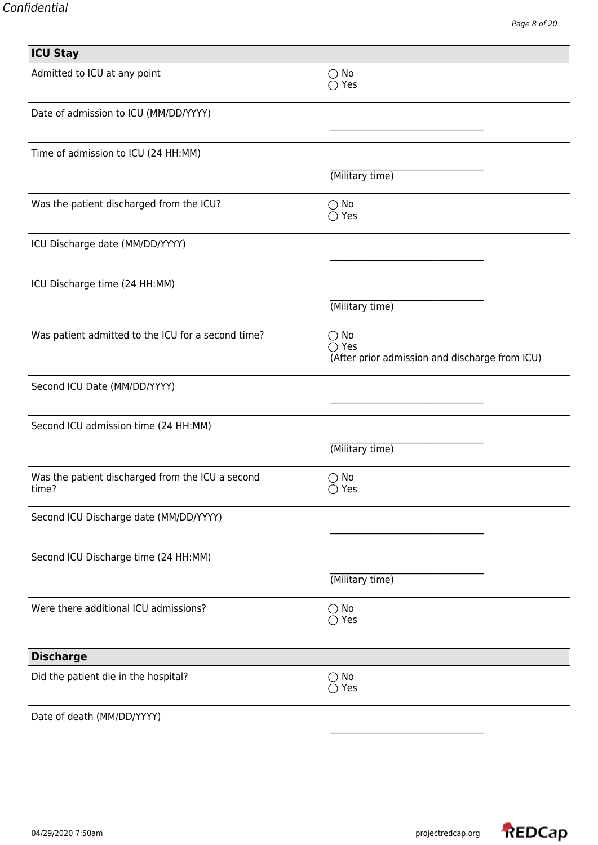## **ICU Stay**

| icu stay                                                  |                                                                                   |
|-----------------------------------------------------------|-----------------------------------------------------------------------------------|
| Admitted to ICU at any point                              | No<br>$\bigcirc$ Yes                                                              |
| Date of admission to ICU (MM/DD/YYYY)                     |                                                                                   |
| Time of admission to ICU (24 HH:MM)                       |                                                                                   |
|                                                           | (Military time)                                                                   |
| Was the patient discharged from the ICU?                  | $\bigcirc$ No<br>$\bigcirc$ Yes                                                   |
| ICU Discharge date (MM/DD/YYYY)                           |                                                                                   |
| ICU Discharge time (24 HH:MM)                             |                                                                                   |
|                                                           | (Military time)                                                                   |
| Was patient admitted to the ICU for a second time?        | $\bigcirc$ No<br>$\bigcirc$ Yes<br>(After prior admission and discharge from ICU) |
| Second ICU Date (MM/DD/YYYY)                              |                                                                                   |
| Second ICU admission time (24 HH:MM)                      |                                                                                   |
|                                                           | (Military time)                                                                   |
| Was the patient discharged from the ICU a second<br>time? | $\bigcirc$ No<br>$\bigcirc$ Yes                                                   |
| Second ICU Discharge date (MM/DD/YYYY)                    |                                                                                   |
| Second ICU Discharge time (24 HH:MM)                      |                                                                                   |
|                                                           | (Military time)                                                                   |
| Were there additional ICU admissions?                     | $\bigcirc$ No<br>$\bigcirc$ Yes                                                   |
| <b>Discharge</b>                                          |                                                                                   |
| Did the patient die in the hospital?                      | $\bigcirc$ No<br>Yes                                                              |
| Date of death (MM/DD/YYYY)                                |                                                                                   |

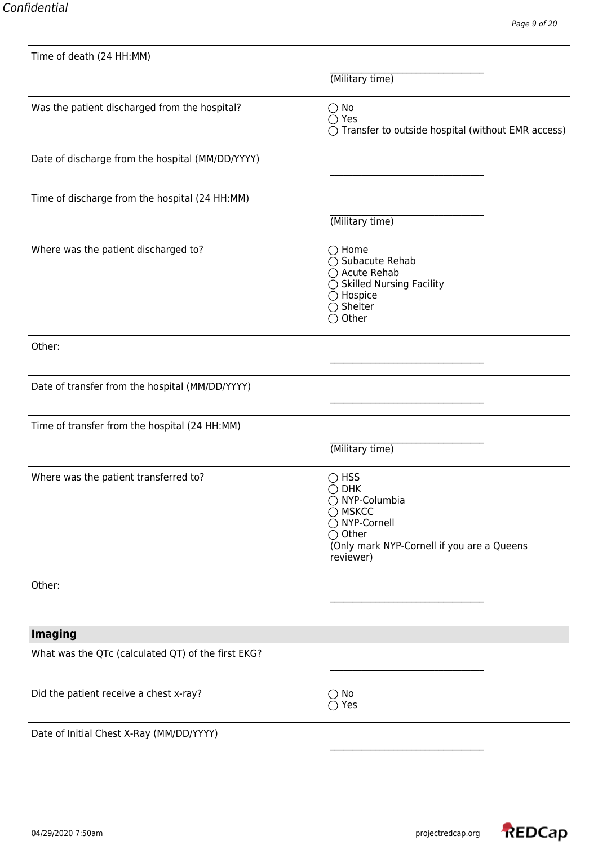| Time of death (24 HH:MM)                           |                                                                                                                                                                     |
|----------------------------------------------------|---------------------------------------------------------------------------------------------------------------------------------------------------------------------|
|                                                    | (Military time)                                                                                                                                                     |
| Was the patient discharged from the hospital?      | $\bigcirc$ No<br>$\bigcirc$ Yes<br>$\bigcirc$ Transfer to outside hospital (without EMR access)                                                                     |
| Date of discharge from the hospital (MM/DD/YYYY)   |                                                                                                                                                                     |
| Time of discharge from the hospital (24 HH:MM)     |                                                                                                                                                                     |
|                                                    | (Military time)                                                                                                                                                     |
| Where was the patient discharged to?               | $\bigcirc$ Home<br>◯ Subacute Rehab<br>○ Acute Rehab<br>$\bigcirc$ Skilled Nursing Facility<br>$\bigcirc$ Hospice<br>$\bigcirc$ Shelter<br>$\bigcirc$ Other         |
| Other:                                             |                                                                                                                                                                     |
| Date of transfer from the hospital (MM/DD/YYYY)    |                                                                                                                                                                     |
| Time of transfer from the hospital (24 HH:MM)      |                                                                                                                                                                     |
|                                                    | (Military time)                                                                                                                                                     |
| Where was the patient transferred to?              | $\bigcirc$ HSS<br><b>DHK</b><br>O<br>◯ NYP-Columbia<br><b>MSKCC</b><br>◯ NYP-Cornell<br>$\bigcirc$ Other<br>(Only mark NYP-Cornell if you are a Queens<br>reviewer) |
| Other:                                             |                                                                                                                                                                     |
|                                                    |                                                                                                                                                                     |
| <b>Imaging</b>                                     |                                                                                                                                                                     |
| What was the QTc (calculated QT) of the first EKG? |                                                                                                                                                                     |
| Did the patient receive a chest x-ray?             | $\bigcirc$ No<br>$\bigcirc$ Yes                                                                                                                                     |
| Date of Initial Chest X-Ray (MM/DD/YYYY)           |                                                                                                                                                                     |

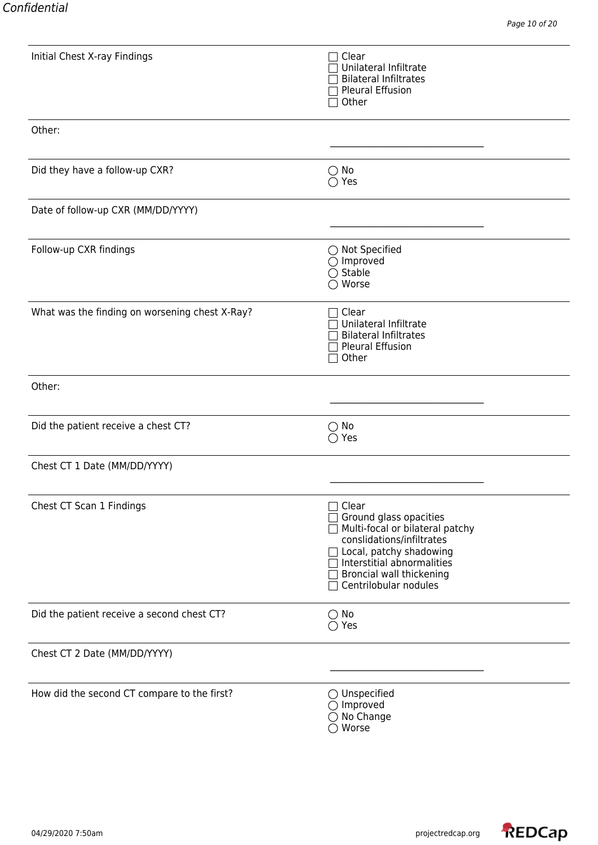| Initial Chest X-ray Findings                   | Clear<br>Unilateral Infiltrate                                                                                                                                                                                  |
|------------------------------------------------|-----------------------------------------------------------------------------------------------------------------------------------------------------------------------------------------------------------------|
|                                                | <b>Bilateral Infiltrates</b><br><b>Pleural Effusion</b><br>Other                                                                                                                                                |
| Other:                                         |                                                                                                                                                                                                                 |
| Did they have a follow-up CXR?                 | $\bigcirc$ No<br>$\bigcirc$ Yes                                                                                                                                                                                 |
| Date of follow-up CXR (MM/DD/YYYY)             |                                                                                                                                                                                                                 |
| Follow-up CXR findings                         | $\bigcirc$ Not Specified<br>$\bigcirc$ Improved<br>$\bigcirc$ Stable<br>$\bigcirc$ Worse                                                                                                                        |
| What was the finding on worsening chest X-Ray? | Clear<br>Unilateral Infiltrate<br><b>Bilateral Infiltrates</b><br><b>Pleural Effusion</b><br>Other                                                                                                              |
| Other:                                         |                                                                                                                                                                                                                 |
| Did the patient receive a chest CT?            | $\bigcirc$ No<br>$\bigcirc$ Yes                                                                                                                                                                                 |
| Chest CT 1 Date (MM/DD/YYYY)                   |                                                                                                                                                                                                                 |
| Chest CT Scan 1 Findings                       | Clear<br>Ground glass opacities<br>Multi-focal or bilateral patchy<br>conslidations/infiltrates<br>□ Local, patchy shadowing<br>Interstitial abnormalities<br>Broncial wall thickening<br>Centrilobular nodules |
| Did the patient receive a second chest CT?     | $\bigcirc$ No<br>$\bigcirc$ Yes                                                                                                                                                                                 |
| Chest CT 2 Date (MM/DD/YYYY)                   |                                                                                                                                                                                                                 |
| How did the second CT compare to the first?    | $\bigcirc$ Unspecified<br>$\bigcirc$ Improved<br>$\bigcirc$ No Change<br>$\bigcirc$ Worse                                                                                                                       |

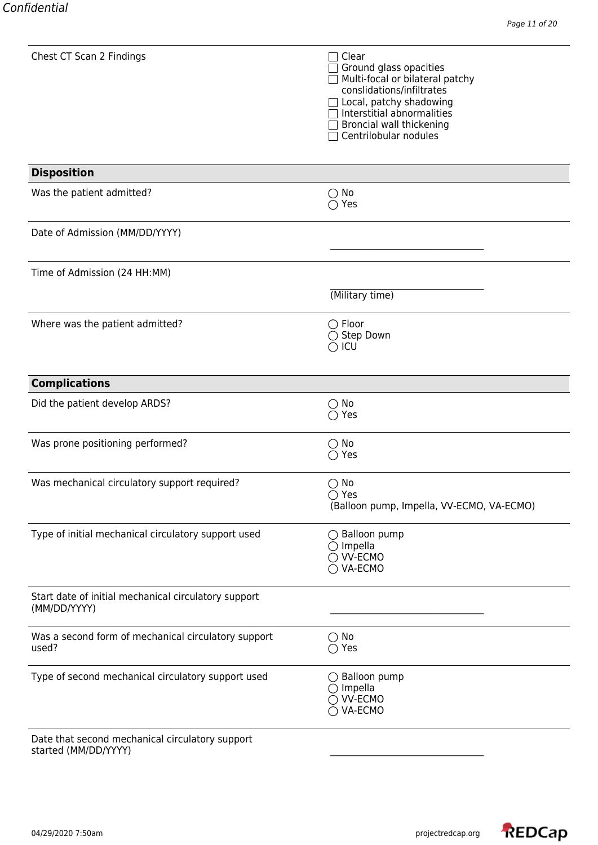| Chest CT Scan 2 Findings                                                | Clear<br>Ground glass opacities<br>Multi-focal or bilateral patchy<br>conslidations/infiltrates<br>Local, patchy shadowing<br>Interstitial abnormalities<br>Broncial wall thickening<br>Centrilobular nodules |
|-------------------------------------------------------------------------|---------------------------------------------------------------------------------------------------------------------------------------------------------------------------------------------------------------|
| <b>Disposition</b>                                                      |                                                                                                                                                                                                               |
| Was the patient admitted?                                               | No<br>( )<br>$\bigcirc$ Yes                                                                                                                                                                                   |
| Date of Admission (MM/DD/YYYY)                                          |                                                                                                                                                                                                               |
| Time of Admission (24 HH:MM)                                            |                                                                                                                                                                                                               |
|                                                                         | (Military time)                                                                                                                                                                                               |
| Where was the patient admitted?                                         | $\bigcirc$ Floor<br>$\bigcirc$ Step Down<br>$\bigcirc$ icu                                                                                                                                                    |
| <b>Complications</b>                                                    |                                                                                                                                                                                                               |
| Did the patient develop ARDS?                                           | $\bigcirc$ No<br>$\bigcirc$ Yes                                                                                                                                                                               |
| Was prone positioning performed?                                        | $\bigcirc$ No<br>$\bigcirc$ Yes                                                                                                                                                                               |
| Was mechanical circulatory support required?                            | $\bigcirc$ No<br>$\bigcirc$ Yes<br>(Balloon pump, Impella, VV-ECMO, VA-ECMO)                                                                                                                                  |
| Type of initial mechanical circulatory support used                     | $\bigcirc$ Balloon pump<br>$\bigcirc$ Impella<br>$\bigcirc$ VV-ECMO<br>VA-ECMO                                                                                                                                |
| Start date of initial mechanical circulatory support<br>(MM/DD/YYYY)    |                                                                                                                                                                                                               |
| Was a second form of mechanical circulatory support<br>used?            | $\bigcirc$ No<br>$\bigcirc$ Yes                                                                                                                                                                               |
| Type of second mechanical circulatory support used                      | $\bigcirc$ Balloon pump<br>Impella<br>VV-ECMO<br>VA-ECMO                                                                                                                                                      |
| Date that second mechanical circulatory support<br>started (MM/DD/YYYY) |                                                                                                                                                                                                               |

04/29/2020 7:50am projectredcap.org

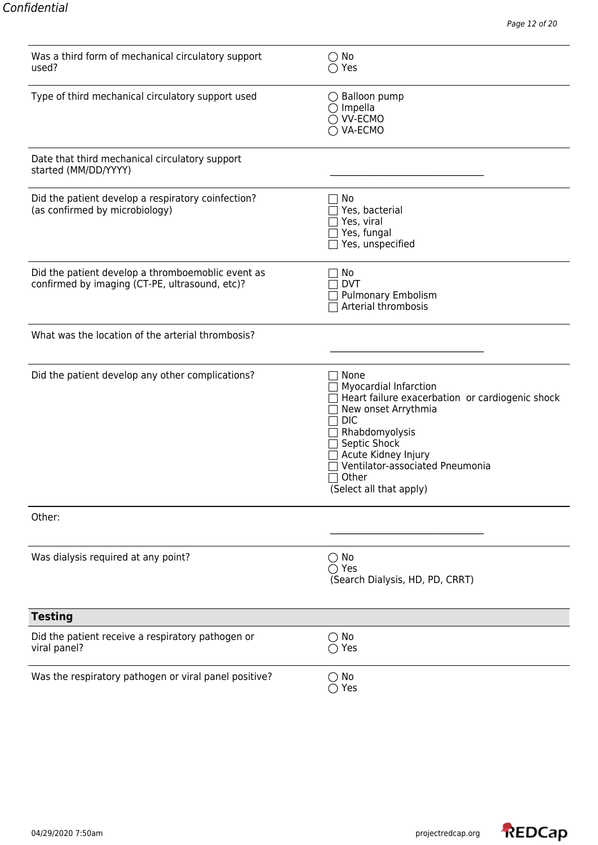| Was a third form of mechanical circulatory support<br>used?                                         | $\bigcirc$ No<br>$\bigcirc$ Yes                                                                                                                                                                                                                              |
|-----------------------------------------------------------------------------------------------------|--------------------------------------------------------------------------------------------------------------------------------------------------------------------------------------------------------------------------------------------------------------|
| Type of third mechanical circulatory support used                                                   | $\bigcirc$ Balloon pump<br>$\bigcirc$ Impella<br>$\bigcirc$ VV-ECMO<br>$\bigcirc$ VA-ECMO                                                                                                                                                                    |
| Date that third mechanical circulatory support<br>started (MM/DD/YYYY)                              |                                                                                                                                                                                                                                                              |
| Did the patient develop a respiratory coinfection?<br>(as confirmed by microbiology)                | No<br>Yes, bacterial<br>Yes, viral<br>Yes, fungal<br>Yes, unspecified                                                                                                                                                                                        |
| Did the patient develop a thromboemoblic event as<br>confirmed by imaging (CT-PE, ultrasound, etc)? | No<br><b>DVT</b><br><b>Pulmonary Embolism</b><br>Arterial thrombosis                                                                                                                                                                                         |
| What was the location of the arterial thrombosis?                                                   |                                                                                                                                                                                                                                                              |
| Did the patient develop any other complications?                                                    | None<br><b>Myocardial Infarction</b><br>Heart failure exacerbation or cardiogenic shock<br>New onset Arrythmia<br><b>DIC</b><br>Rhabdomyolysis<br>Septic Shock<br>Acute Kidney Injury<br>Ventilator-associated Pneumonia<br>Other<br>(Select all that apply) |
| Other:                                                                                              |                                                                                                                                                                                                                                                              |
| Was dialysis required at any point?                                                                 | $\bigcirc$ No<br>$\bigcirc$ Yes<br>(Search Dialysis, HD, PD, CRRT)                                                                                                                                                                                           |
| <b>Testing</b>                                                                                      |                                                                                                                                                                                                                                                              |
| Did the patient receive a respiratory pathogen or<br>viral panel?                                   | $\bigcirc$ No<br>Yes                                                                                                                                                                                                                                         |
| Was the respiratory pathogen or viral panel positive?                                               | $\bigcirc$ No<br>$\bigcirc$ Yes                                                                                                                                                                                                                              |

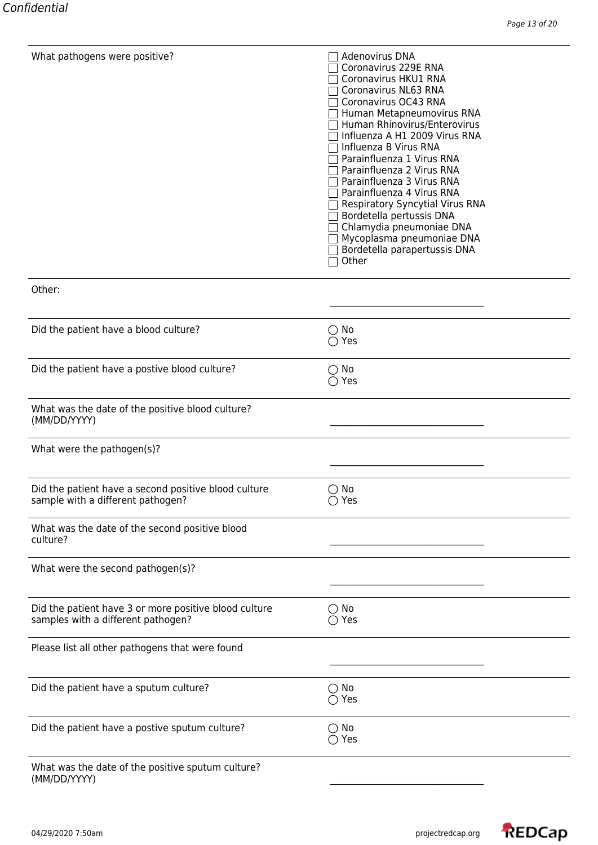| What pathogens were positive?                                                               | Adenovirus DNA<br>Coronavirus 229E RNA<br>Coronavirus HKU1 RNA<br>Coronavirus NL63 RNA<br>Coronavirus OC43 RNA<br>Human Metapneumovirus RNA<br>Human Rhinovirus/Enterovirus<br>Influenza A H1 2009 Virus RNA<br>Influenza B Virus RNA<br>Parainfluenza 1 Virus RNA<br>Parainfluenza 2 Virus RNA<br>Parainfluenza 3 Virus RNA<br>Parainfluenza 4 Virus RNA<br><b>Respiratory Syncytial Virus RNA</b><br>Bordetella pertussis DNA<br>Chlamydia pneumoniae DNA<br>Mycoplasma pneumoniae DNA<br>Bordetella parapertussis DNA<br>Other |
|---------------------------------------------------------------------------------------------|-----------------------------------------------------------------------------------------------------------------------------------------------------------------------------------------------------------------------------------------------------------------------------------------------------------------------------------------------------------------------------------------------------------------------------------------------------------------------------------------------------------------------------------|
| Other:                                                                                      |                                                                                                                                                                                                                                                                                                                                                                                                                                                                                                                                   |
| Did the patient have a blood culture?                                                       | $\bigcirc$ No<br>$\bigcirc$ Yes                                                                                                                                                                                                                                                                                                                                                                                                                                                                                                   |
| Did the patient have a postive blood culture?                                               | $\bigcirc$ No<br>$\bigcirc$ Yes                                                                                                                                                                                                                                                                                                                                                                                                                                                                                                   |
| What was the date of the positive blood culture?<br>(MM/DD/YYYY)                            |                                                                                                                                                                                                                                                                                                                                                                                                                                                                                                                                   |
| What were the pathogen(s)?                                                                  |                                                                                                                                                                                                                                                                                                                                                                                                                                                                                                                                   |
| Did the patient have a second positive blood culture<br>sample with a different pathogen?   | $\bigcirc$ No<br>$\bigcirc$ Yes                                                                                                                                                                                                                                                                                                                                                                                                                                                                                                   |
| What was the date of the second positive blood<br>culture?                                  |                                                                                                                                                                                                                                                                                                                                                                                                                                                                                                                                   |
| What were the second pathogen(s)?                                                           |                                                                                                                                                                                                                                                                                                                                                                                                                                                                                                                                   |
| Did the patient have 3 or more positive blood culture<br>samples with a different pathogen? | $\bigcirc$ No<br>$\bigcirc$ Yes                                                                                                                                                                                                                                                                                                                                                                                                                                                                                                   |
| Please list all other pathogens that were found                                             |                                                                                                                                                                                                                                                                                                                                                                                                                                                                                                                                   |
| Did the patient have a sputum culture?                                                      | $\bigcirc$ No<br>$\bigcirc$ Yes                                                                                                                                                                                                                                                                                                                                                                                                                                                                                                   |
| Did the patient have a postive sputum culture?                                              | $\bigcirc$ No<br>$\bigcirc$ Yes                                                                                                                                                                                                                                                                                                                                                                                                                                                                                                   |
| What was the date of the positive sputum culture?<br>(MM/DD/YYYY)                           |                                                                                                                                                                                                                                                                                                                                                                                                                                                                                                                                   |

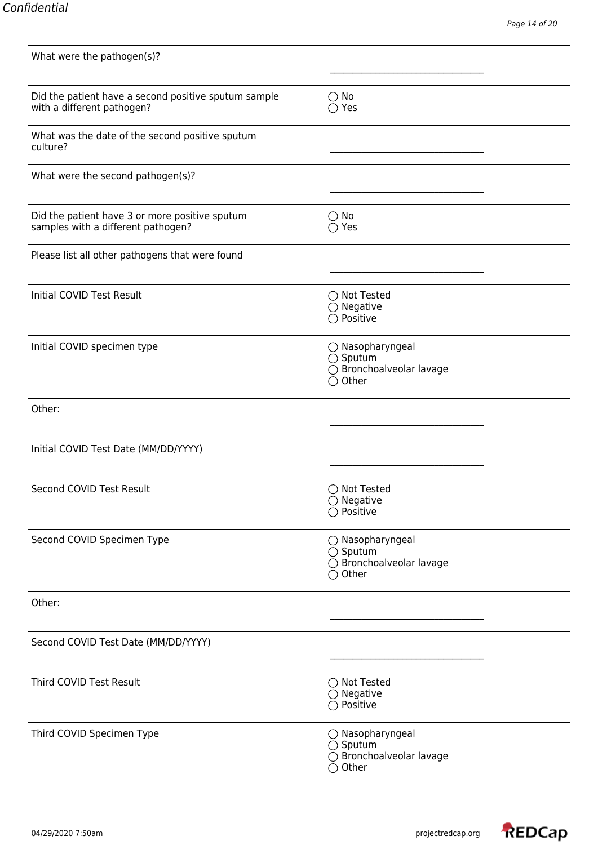| Did the patient have a second positive sputum sample<br>with a different pathogen?   | $\bigcirc$ No<br>$\bigcirc$ Yes                                                                |
|--------------------------------------------------------------------------------------|------------------------------------------------------------------------------------------------|
| What was the date of the second positive sputum<br>culture?                          |                                                                                                |
| What were the second pathogen(s)?                                                    |                                                                                                |
| Did the patient have 3 or more positive sputum<br>samples with a different pathogen? | $\bigcirc$ No<br>$\bigcirc$ Yes                                                                |
| Please list all other pathogens that were found                                      |                                                                                                |
| Initial COVID Test Result                                                            | $\bigcirc$ Not Tested<br>$\bigcirc$ Negative<br>○ Positive                                     |
| Initial COVID specimen type                                                          | $\bigcirc$ Nasopharyngeal<br>$\bigcirc$ Sputum<br>◯ Bronchoalveolar lavage<br>Other            |
| Other:                                                                               |                                                                                                |
| Initial COVID Test Date (MM/DD/YYYY)                                                 |                                                                                                |
| Second COVID Test Result                                                             | ◯ Not Tested<br>$\bigcirc$ Negative<br>Positive                                                |
| Second COVID Specimen Type                                                           | ◯ Nasopharyngeal<br>$\bigcirc$ Sputum<br>◯ Bronchoalveolar lavage<br>$\bigcirc$ Other          |
| Other:                                                                               |                                                                                                |
| Second COVID Test Date (MM/DD/YYYY)                                                  |                                                                                                |
| Third COVID Test Result                                                              | $\bigcirc$ Not Tested<br>$\bigcirc$ Negative<br>$\bigcirc$ Positive                            |
| Third COVID Specimen Type                                                            | $\bigcirc$ Nasopharyngeal<br>$\bigcirc$ Sputum<br>◯ Bronchoalveolar lavage<br>$\bigcirc$ Other |

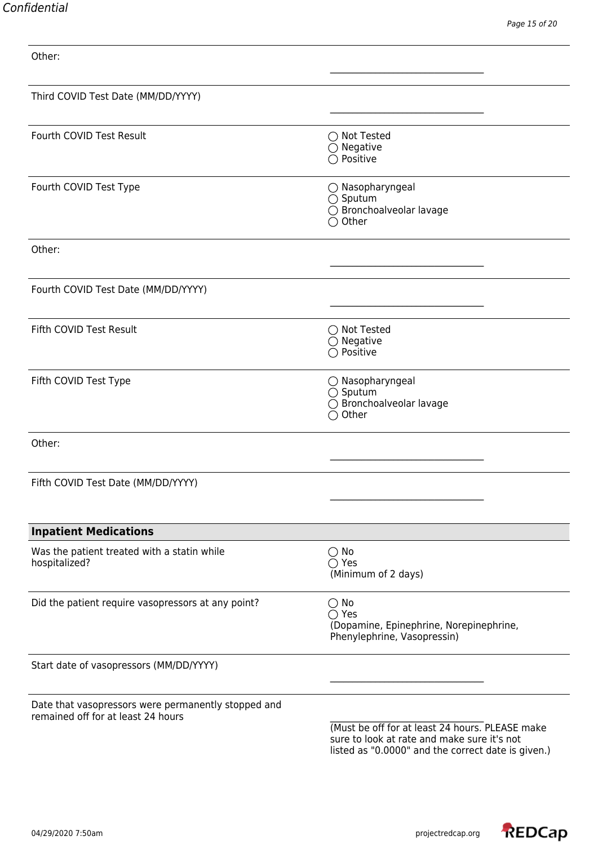Other:

| Third COVID Test Date (MM/DD/YYYY)                                                        |                                                                                                                                                      |
|-------------------------------------------------------------------------------------------|------------------------------------------------------------------------------------------------------------------------------------------------------|
|                                                                                           |                                                                                                                                                      |
| Fourth COVID Test Result                                                                  | $\bigcirc$ Not Tested<br>$\bigcirc$ Negative<br>○ Positive                                                                                           |
| Fourth COVID Test Type                                                                    | $\bigcirc$ Nasopharyngeal<br>$\bigcirc$ Sputum<br>◯ Bronchoalveolar lavage<br>$\bigcirc$ Other                                                       |
| Other:                                                                                    |                                                                                                                                                      |
|                                                                                           |                                                                                                                                                      |
| Fourth COVID Test Date (MM/DD/YYYY)                                                       |                                                                                                                                                      |
| Fifth COVID Test Result                                                                   | ◯ Not Tested<br>$\bigcirc$ Negative<br>○ Positive                                                                                                    |
| Fifth COVID Test Type                                                                     | $\bigcirc$ Nasopharyngeal<br>$\bigcirc$ Sputum<br>◯ Bronchoalveolar lavage<br>$\bigcirc$ Other                                                       |
| Other:                                                                                    |                                                                                                                                                      |
| Fifth COVID Test Date (MM/DD/YYYY)                                                        |                                                                                                                                                      |
| <b>Inpatient Medications</b>                                                              |                                                                                                                                                      |
| Was the patient treated with a statin while<br>hospitalized?                              | $\bigcirc$ No<br>$\bigcirc$ Yes<br>(Minimum of 2 days)                                                                                               |
| Did the patient require vasopressors at any point?                                        | $\bigcirc$ No<br>$\bigcirc$ Yes<br>(Dopamine, Epinephrine, Norepinephrine,<br>Phenylephrine, Vasopressin)                                            |
| Start date of vasopressors (MM/DD/YYYY)                                                   |                                                                                                                                                      |
| Date that vasopressors were permanently stopped and<br>remained off for at least 24 hours | (Must be off for at least 24 hours. PLEASE make<br>sure to look at rate and make sure it's not<br>listed as "0.0000" and the correct date is given.) |

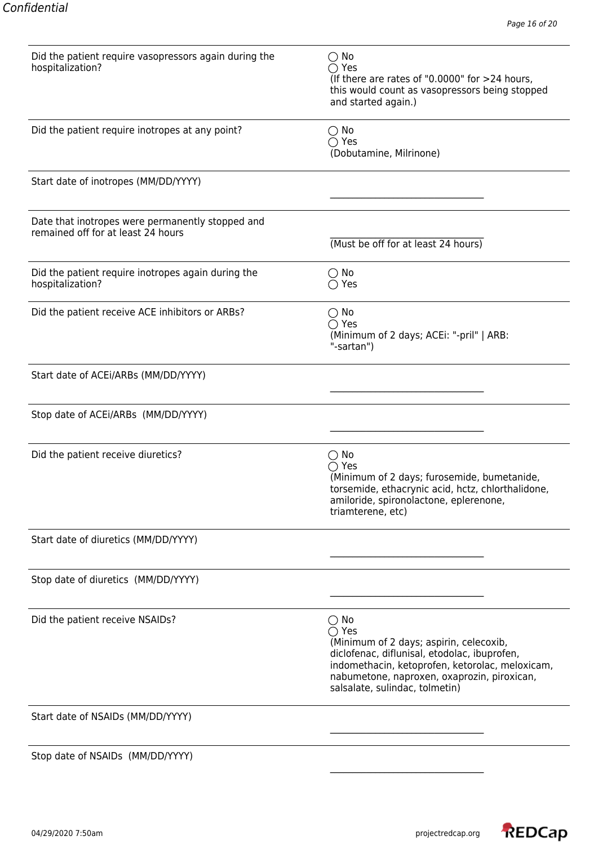| Did the patient require vasopressors again during the<br>hospitalization?              | $\bigcirc$ No<br>$\bigcirc$ Yes<br>(If there are rates of "0.0000" for $>24$ hours,<br>this would count as vasopressors being stopped<br>and started again.)                                                                                                   |
|----------------------------------------------------------------------------------------|----------------------------------------------------------------------------------------------------------------------------------------------------------------------------------------------------------------------------------------------------------------|
| Did the patient require inotropes at any point?                                        | $\bigcirc$ No<br>$\bigcirc$ Yes<br>(Dobutamine, Milrinone)                                                                                                                                                                                                     |
| Start date of inotropes (MM/DD/YYYY)                                                   |                                                                                                                                                                                                                                                                |
| Date that inotropes were permanently stopped and<br>remained off for at least 24 hours | (Must be off for at least 24 hours)                                                                                                                                                                                                                            |
| Did the patient require inotropes again during the<br>hospitalization?                 | $\bigcirc$ No<br>$\bigcirc$ Yes                                                                                                                                                                                                                                |
| Did the patient receive ACE inhibitors or ARBs?                                        | $\bigcirc$ No<br>$\bigcirc$ Yes<br>(Minimum of 2 days; ACEi: "-pril"   ARB:<br>"-sartan")                                                                                                                                                                      |
| Start date of ACEI/ARBs (MM/DD/YYYY)                                                   |                                                                                                                                                                                                                                                                |
| Stop date of ACEI/ARBs (MM/DD/YYYY)                                                    |                                                                                                                                                                                                                                                                |
| Did the patient receive diuretics?                                                     | $\bigcirc$ No<br>$\bigcirc$ Yes<br>(Minimum of 2 days; furosemide, bumetanide,<br>torsemide, ethacrynic acid, hctz, chlorthalidone,<br>amiloride, spironolactone, eplerenone,<br>triamterene, etc)                                                             |
| Start date of diuretics (MM/DD/YYYY)                                                   |                                                                                                                                                                                                                                                                |
| Stop date of diuretics (MM/DD/YYYY)                                                    |                                                                                                                                                                                                                                                                |
| Did the patient receive NSAIDs?                                                        | $\bigcirc$ No<br>$\bigcirc$ Yes<br>(Minimum of 2 days; aspirin, celecoxib,<br>diclofenac, diflunisal, etodolac, ibuprofen,<br>indomethacin, ketoprofen, ketorolac, meloxicam,<br>nabumetone, naproxen, oxaprozin, piroxican,<br>salsalate, sulindac, tolmetin) |
| Start date of NSAIDs (MM/DD/YYYY)                                                      |                                                                                                                                                                                                                                                                |
| Stop date of NSAIDs (MM/DD/YYYY)                                                       |                                                                                                                                                                                                                                                                |

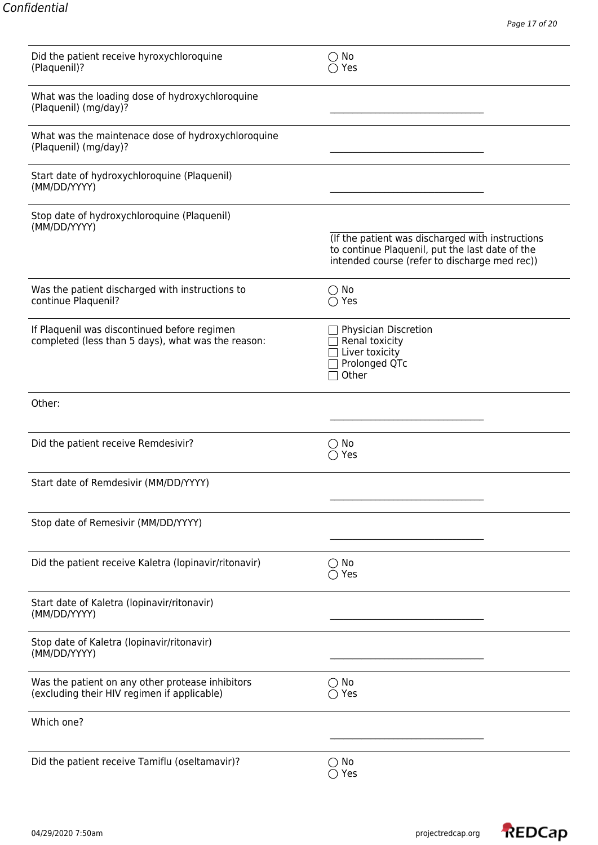| Did the patient receive hyroxychloroquine<br>(Plaquenil)?                                          | $\bigcirc$ No<br>$\bigcirc$ Yes                                                                                                                      |
|----------------------------------------------------------------------------------------------------|------------------------------------------------------------------------------------------------------------------------------------------------------|
| What was the loading dose of hydroxychloroquine<br>(Plaquenil) (mg/day)?                           |                                                                                                                                                      |
| What was the maintenace dose of hydroxychloroquine<br>(Plaquenil) (mg/day)?                        |                                                                                                                                                      |
| Start date of hydroxychloroquine (Plaquenil)<br>(MM/DD/YYYY)                                       |                                                                                                                                                      |
| Stop date of hydroxychloroquine (Plaquenil)<br>(MM/DD/YYYY)                                        | (If the patient was discharged with instructions<br>to continue Plaquenil, put the last date of the<br>intended course (refer to discharge med rec)) |
| Was the patient discharged with instructions to<br>continue Plaquenil?                             | $\bigcirc$ No<br>$\bigcirc$ Yes                                                                                                                      |
| If Plaquenil was discontinued before regimen<br>completed (less than 5 days), what was the reason: | Physician Discretion<br>Renal toxicity<br>Liver toxicity<br>Prolonged QTc<br>Other                                                                   |
| Other:                                                                                             |                                                                                                                                                      |
| Did the patient receive Remdesivir?                                                                | $\bigcirc$ No<br>$\bigcirc$ Yes                                                                                                                      |
| Start date of Remdesivir (MM/DD/YYYY)                                                              |                                                                                                                                                      |
| Stop date of Remesivir (MM/DD/YYYY)                                                                |                                                                                                                                                      |
| Did the patient receive Kaletra (lopinavir/ritonavir)                                              | $\bigcirc$ No<br>$\bigcirc$ Yes                                                                                                                      |
| Start date of Kaletra (lopinavir/ritonavir)<br>(MM/DD/YYYY)                                        |                                                                                                                                                      |
| Stop date of Kaletra (lopinavir/ritonavir)<br>(MM/DD/YYYY)                                         |                                                                                                                                                      |
| Was the patient on any other protease inhibitors<br>(excluding their HIV regimen if applicable)    | $\bigcirc$ No<br>$\bigcirc$ Yes                                                                                                                      |
| Which one?                                                                                         |                                                                                                                                                      |
| Did the patient receive Tamiflu (oseltamavir)?                                                     | $\bigcirc$ No<br>Yes<br>$\rightarrow$                                                                                                                |

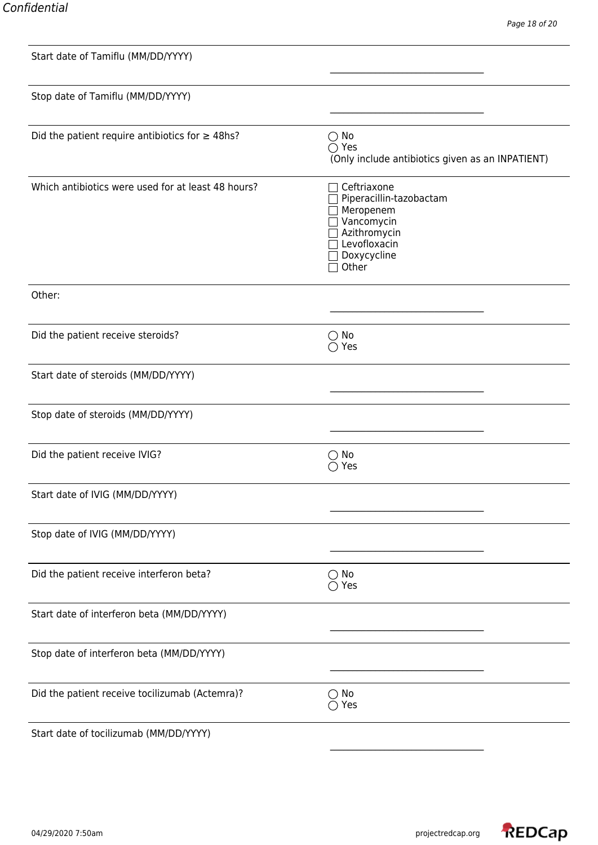| Start date of Tamiflu (MM/DD/YYYY)                    |                                                                                                                           |
|-------------------------------------------------------|---------------------------------------------------------------------------------------------------------------------------|
|                                                       |                                                                                                                           |
| Stop date of Tamiflu (MM/DD/YYYY)                     |                                                                                                                           |
|                                                       |                                                                                                                           |
| Did the patient require antibiotics for $\geq 48$ hs? | $\bigcirc$ No<br>$\bigcirc$ Yes<br>(Only include antibiotics given as an INPATIENT)                                       |
| Which antibiotics were used for at least 48 hours?    | Ceftriaxone<br>Piperacillin-tazobactam<br>Meropenem<br>Vancomycin<br>Azithromycin<br>Levofloxacin<br>Doxycycline<br>Other |
| Other:                                                |                                                                                                                           |
|                                                       |                                                                                                                           |
| Did the patient receive steroids?                     | $\bigcirc$ No<br>$\bigcirc$ Yes                                                                                           |
| Start date of steroids (MM/DD/YYYY)                   |                                                                                                                           |
| Stop date of steroids (MM/DD/YYYY)                    |                                                                                                                           |
| Did the patient receive IVIG?                         | $\bigcirc$ No<br>$\bigcirc$ Yes                                                                                           |
| Start date of IVIG (MM/DD/YYYY)                       |                                                                                                                           |
| Stop date of IVIG (MM/DD/YYYY)                        |                                                                                                                           |
| Did the patient receive interferon beta?              | $\bigcirc$ No<br>$\bigcirc$ Yes                                                                                           |
| Start date of interferon beta (MM/DD/YYYY)            |                                                                                                                           |
| Stop date of interferon beta (MM/DD/YYYY)             |                                                                                                                           |
| Did the patient receive tocilizumab (Actemra)?        | $\bigcirc$ No<br>Yes                                                                                                      |
| Start date of tocilizumab (MM/DD/YYYY)                |                                                                                                                           |

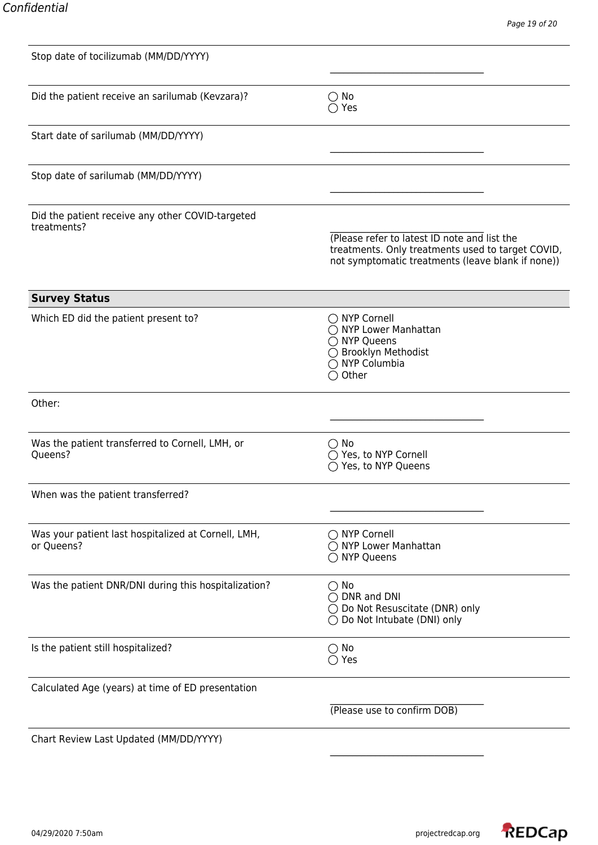| Stop date of tocilizumab (MM/DD/YYYY)                             |                                                                                                                                                        |
|-------------------------------------------------------------------|--------------------------------------------------------------------------------------------------------------------------------------------------------|
|                                                                   |                                                                                                                                                        |
| Did the patient receive an sarilumab (Kevzara)?                   | $\bigcirc$ No<br>Yes                                                                                                                                   |
| Start date of sarilumab (MM/DD/YYYY)                              |                                                                                                                                                        |
| Stop date of sarilumab (MM/DD/YYYY)                               |                                                                                                                                                        |
| Did the patient receive any other COVID-targeted<br>treatments?   | (Please refer to latest ID note and list the<br>treatments. Only treatments used to target COVID,<br>not symptomatic treatments (leave blank if none)) |
| <b>Survey Status</b>                                              |                                                                                                                                                        |
| Which ED did the patient present to?                              | ◯ NYP Cornell<br>◯ NYP Lower Manhattan<br>◯ NYP Queens<br>◯ Brooklyn Methodist<br>◯ NYP Columbia<br>$\bigcirc$ Other                                   |
| Other:                                                            |                                                                                                                                                        |
| Was the patient transferred to Cornell, LMH, or<br>Queens?        | $\bigcirc$ No<br>◯ Yes, to NYP Cornell<br>◯ Yes, to NYP Queens                                                                                         |
| When was the patient transferred?                                 |                                                                                                                                                        |
| Was your patient last hospitalized at Cornell, LMH,<br>or Queens? | ◯ NYP Cornell<br>○ NYP Lower Manhattan<br>◯ NYP Queens                                                                                                 |
| Was the patient DNR/DNI during this hospitalization?              | $\bigcirc$ No<br>DNR and DNI<br>◯ Do Not Resuscitate (DNR) only<br>◯ Do Not Intubate (DNI) only                                                        |
| Is the patient still hospitalized?                                | $\bigcirc$ No<br>$\bigcirc$ Yes                                                                                                                        |
| Calculated Age (years) at time of ED presentation                 |                                                                                                                                                        |
|                                                                   | (Please use to confirm DOB)                                                                                                                            |
| Chart Review Last Updated (MM/DD/YYYY)                            |                                                                                                                                                        |

 $\mathcal{L}_\text{max}$